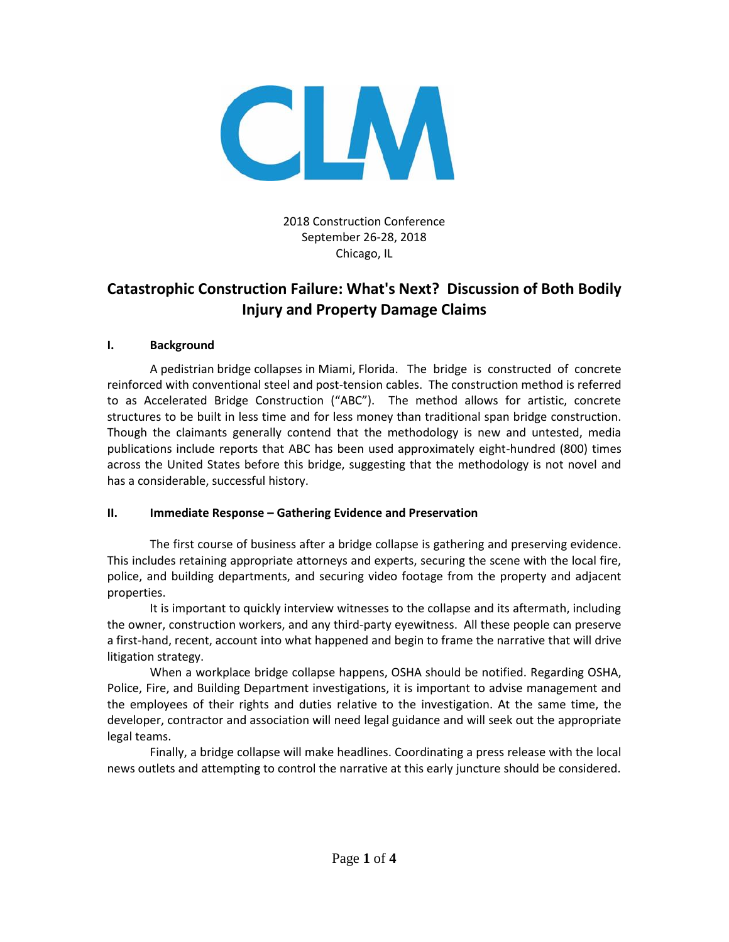

2018 Construction Conference September 26-28, 2018 Chicago, IL

# **Catastrophic Construction Failure: What's Next? Discussion of Both Bodily Injury and Property Damage Claims**

# **I. Background**

A pedistrian bridge collapses in Miami, Florida. The bridge is constructed of concrete reinforced with conventional steel and post-tension cables. The construction method is referred to as Accelerated Bridge Construction ("ABC"). The method allows for artistic, concrete structures to be built in less time and for less money than traditional span bridge construction. Though the claimants generally contend that the methodology is new and untested, media publications include reports that ABC has been used approximately eight-hundred (800) times across the United States before this bridge, suggesting that the methodology is not novel and has a considerable, successful history.

# **II. Immediate Response – Gathering Evidence and Preservation**

The first course of business after a bridge collapse is gathering and preserving evidence. This includes retaining appropriate attorneys and experts, securing the scene with the local fire, police, and building departments, and securing video footage from the property and adjacent properties.

It is important to quickly interview witnesses to the collapse and its aftermath, including the owner, construction workers, and any third-party eyewitness. All these people can preserve a first-hand, recent, account into what happened and begin to frame the narrative that will drive litigation strategy.

When a workplace bridge collapse happens, OSHA should be notified. Regarding OSHA, Police, Fire, and Building Department investigations, it is important to advise management and the employees of their rights and duties relative to the investigation. At the same time, the developer, contractor and association will need legal guidance and will seek out the appropriate legal teams.

Finally, a bridge collapse will make headlines. Coordinating a press release with the local news outlets and attempting to control the narrative at this early juncture should be considered.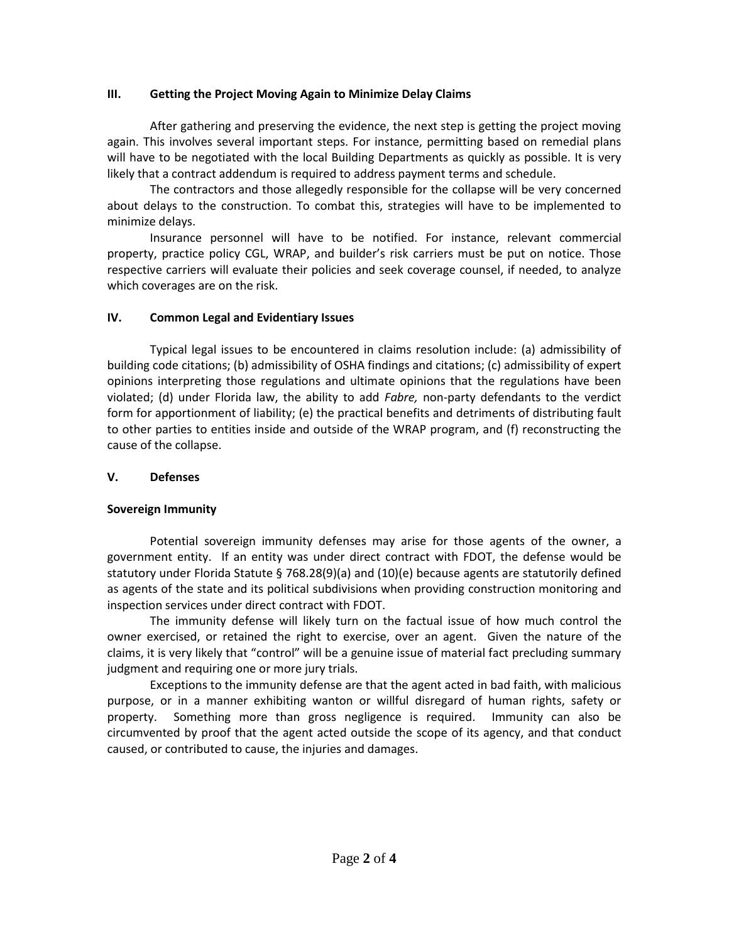### **III. Getting the Project Moving Again to Minimize Delay Claims**

After gathering and preserving the evidence, the next step is getting the project moving again. This involves several important steps. For instance, permitting based on remedial plans will have to be negotiated with the local Building Departments as quickly as possible. It is very likely that a contract addendum is required to address payment terms and schedule.

The contractors and those allegedly responsible for the collapse will be very concerned about delays to the construction. To combat this, strategies will have to be implemented to minimize delays.

Insurance personnel will have to be notified. For instance, relevant commercial property, practice policy CGL, WRAP, and builder's risk carriers must be put on notice. Those respective carriers will evaluate their policies and seek coverage counsel, if needed, to analyze which coverages are on the risk.

# **IV. Common Legal and Evidentiary Issues**

Typical legal issues to be encountered in claims resolution include: (a) admissibility of building code citations; (b) admissibility of OSHA findings and citations; (c) admissibility of expert opinions interpreting those regulations and ultimate opinions that the regulations have been violated; (d) under Florida law, the ability to add *Fabre,* non-party defendants to the verdict form for apportionment of liability; (e) the practical benefits and detriments of distributing fault to other parties to entities inside and outside of the WRAP program, and (f) reconstructing the cause of the collapse.

# **V. Defenses**

# **Sovereign Immunity**

Potential sovereign immunity defenses may arise for those agents of the owner, a government entity. If an entity was under direct contract with FDOT, the defense would be statutory under Florida Statute § 768.28(9)(a) and (10)(e) because agents are statutorily defined as agents of the state and its political subdivisions when providing construction monitoring and inspection services under direct contract with FDOT.

The immunity defense will likely turn on the factual issue of how much control the owner exercised, or retained the right to exercise, over an agent. Given the nature of the claims, it is very likely that "control" will be a genuine issue of material fact precluding summary judgment and requiring one or more jury trials.

Exceptions to the immunity defense are that the agent acted in bad faith, with malicious purpose, or in a manner exhibiting wanton or willful disregard of human rights, safety or property. Something more than gross negligence is required. Immunity can also be circumvented by proof that the agent acted outside the scope of its agency, and that conduct caused, or contributed to cause, the injuries and damages.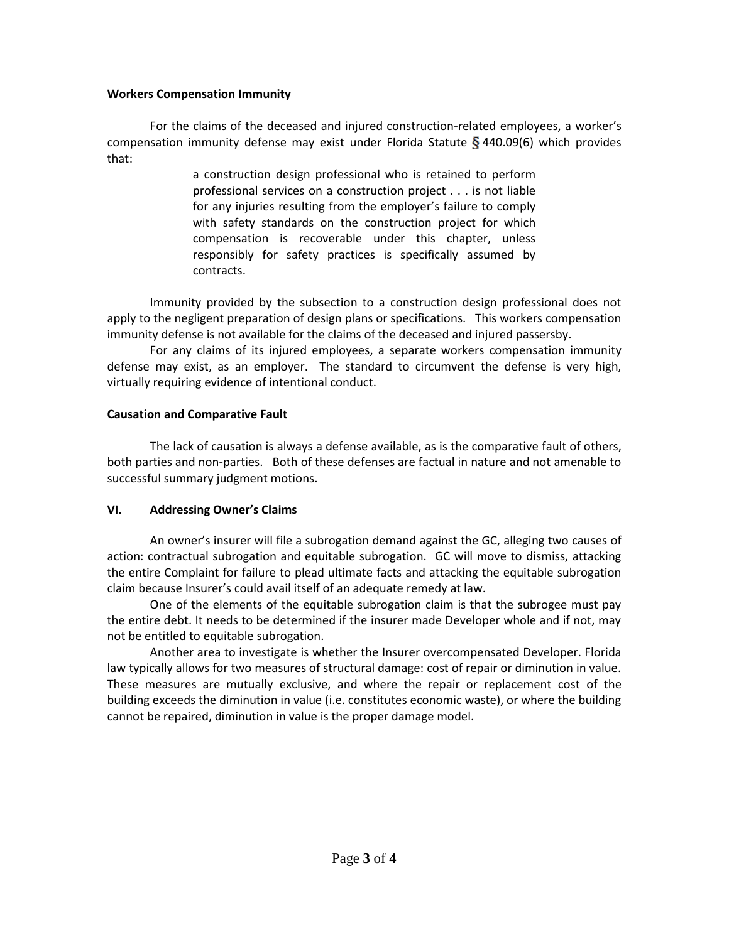### **Workers Compensation Immunity**

For the claims of the deceased and injured construction-related employees, a worker's compensation immunity defense may exist under Florida Statute  $\S$  440.09(6) which provides that:

> a construction design professional who is retained to perform professional services on a construction project . . . is not liable for any injuries resulting from the employer's failure to comply with safety standards on the construction project for which compensation is recoverable under this chapter, unless responsibly for safety practices is specifically assumed by contracts.

Immunity provided by the subsection to a construction design professional does not apply to the negligent preparation of design plans or specifications. This workers compensation immunity defense is not available for the claims of the deceased and injured passersby.

For any claims of its injured employees, a separate workers compensation immunity defense may exist, as an employer. The standard to circumvent the defense is very high, virtually requiring evidence of intentional conduct.

# **Causation and Comparative Fault**

The lack of causation is always a defense available, as is the comparative fault of others, both parties and non-parties. Both of these defenses are factual in nature and not amenable to successful summary judgment motions.

# **VI. Addressing Owner's Claims**

An owner's insurer will file a subrogation demand against the GC, alleging two causes of action: contractual subrogation and equitable subrogation. GC will move to dismiss, attacking the entire Complaint for failure to plead ultimate facts and attacking the equitable subrogation claim because Insurer's could avail itself of an adequate remedy at law.

One of the elements of the equitable subrogation claim is that the subrogee must pay the entire debt. It needs to be determined if the insurer made Developer whole and if not, may not be entitled to equitable subrogation.

Another area to investigate is whether the Insurer overcompensated Developer. Florida law typically allows for two measures of structural damage: cost of repair or diminution in value. These measures are mutually exclusive, and where the repair or replacement cost of the building exceeds the diminution in value (i.e. constitutes economic waste), or where the building cannot be repaired, diminution in value is the proper damage model.